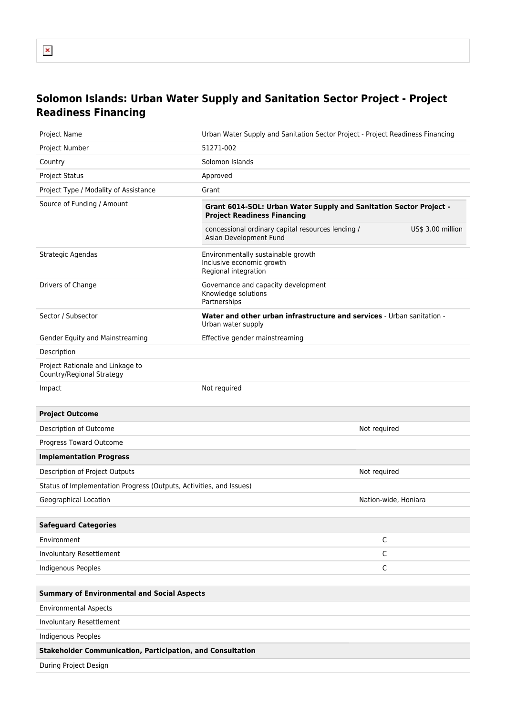## **Solomon Islands: Urban Water Supply and Sanitation Sector Project - Project Readiness Financing**

| <b>Project Name</b>                                                 | Urban Water Supply and Sanitation Sector Project - Project Readiness Financing                           |  |  |  |
|---------------------------------------------------------------------|----------------------------------------------------------------------------------------------------------|--|--|--|
| <b>Project Number</b>                                               | 51271-002                                                                                                |  |  |  |
| Country                                                             | Solomon Islands                                                                                          |  |  |  |
| <b>Project Status</b>                                               | Approved                                                                                                 |  |  |  |
| Project Type / Modality of Assistance                               | Grant                                                                                                    |  |  |  |
| Source of Funding / Amount                                          | Grant 6014-SOL: Urban Water Supply and Sanitation Sector Project -<br><b>Project Readiness Financing</b> |  |  |  |
|                                                                     | concessional ordinary capital resources lending /<br>US\$ 3.00 million<br>Asian Development Fund         |  |  |  |
| Strategic Agendas                                                   | Environmentally sustainable growth<br>Inclusive economic growth<br>Regional integration                  |  |  |  |
| Drivers of Change                                                   | Governance and capacity development<br>Knowledge solutions<br>Partnerships                               |  |  |  |
| Sector / Subsector                                                  | <b>Water and other urban infrastructure and services - Urban sanitation -</b><br>Urban water supply      |  |  |  |
| Gender Equity and Mainstreaming                                     | Effective gender mainstreaming                                                                           |  |  |  |
| Description                                                         |                                                                                                          |  |  |  |
| Project Rationale and Linkage to<br>Country/Regional Strategy       |                                                                                                          |  |  |  |
| Impact                                                              | Not required                                                                                             |  |  |  |
|                                                                     |                                                                                                          |  |  |  |
| <b>Project Outcome</b>                                              |                                                                                                          |  |  |  |
| Description of Outcome                                              | Not required                                                                                             |  |  |  |
| Progress Toward Outcome                                             |                                                                                                          |  |  |  |
| <b>Implementation Progress</b>                                      |                                                                                                          |  |  |  |
| Description of Project Outputs                                      | Not required                                                                                             |  |  |  |
| Status of Implementation Progress (Outputs, Activities, and Issues) |                                                                                                          |  |  |  |
| Geographical Location                                               | Nation-wide, Honiara                                                                                     |  |  |  |
|                                                                     |                                                                                                          |  |  |  |
| <b>Safeguard Categories</b>                                         |                                                                                                          |  |  |  |
| Environment                                                         | $\mathsf C$                                                                                              |  |  |  |
| Involuntary Resettlement                                            | $\mathsf C$                                                                                              |  |  |  |
| Indigenous Peoples                                                  | $\mathsf C$                                                                                              |  |  |  |
|                                                                     |                                                                                                          |  |  |  |
| <b>Summary of Environmental and Social Aspects</b>                  |                                                                                                          |  |  |  |
| <b>Environmental Aspects</b>                                        |                                                                                                          |  |  |  |
| Involuntary Resettlement                                            |                                                                                                          |  |  |  |
| Indigenous Peoples                                                  |                                                                                                          |  |  |  |
| <b>Stakeholder Communication, Participation, and Consultation</b>   |                                                                                                          |  |  |  |
| During Project Design                                               |                                                                                                          |  |  |  |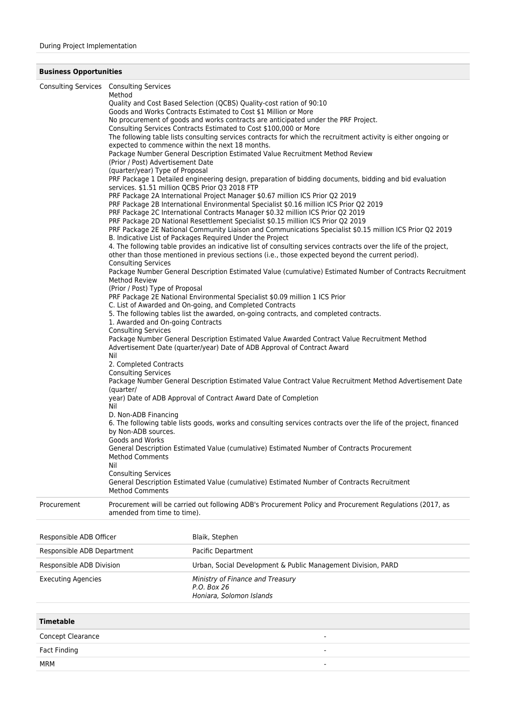## **Business Opportunities**

|                         | Consulting Services Consulting Services<br>Method<br>(Prior / Post) Advertisement Date<br>(quarter/year) Type of Proposal<br>services. \$1.51 million QCBS Prior Q3 2018 FTP<br><b>Consulting Services</b><br><b>Method Review</b><br>(Prior / Post) Type of Proposal<br>1. Awarded and On-going Contracts<br><b>Consulting Services</b><br>Nil<br>2. Completed Contracts<br><b>Consulting Services</b><br>(quarter/<br>Nil<br>D. Non-ADB Financing<br>by Non-ADB sources.<br>Goods and Works<br><b>Method Comments</b><br>Nil<br><b>Consulting Services</b><br><b>Method Comments</b> | Quality and Cost Based Selection (QCBS) Quality-cost ration of 90:10<br>Goods and Works Contracts Estimated to Cost \$1 Million or More<br>No procurement of goods and works contracts are anticipated under the PRF Project.<br>Consulting Services Contracts Estimated to Cost \$100,000 or More<br>The following table lists consulting services contracts for which the recruitment activity is either ongoing or<br>expected to commence within the next 18 months.<br>Package Number General Description Estimated Value Recruitment Method Review<br>PRF Package 1 Detailed engineering design, preparation of bidding documents, bidding and bid evaluation<br>PRF Package 2A International Project Manager \$0.67 million ICS Prior Q2 2019<br>PRF Package 2B International Environmental Specialist \$0.16 million ICS Prior Q2 2019<br>PRF Package 2C International Contracts Manager \$0.32 million ICS Prior Q2 2019<br>PRF Package 2D National Resettlement Specialist \$0.15 million ICS Prior Q2 2019<br>PRF Package 2E National Community Liaison and Communications Specialist \$0.15 million ICS Prior Q2 2019<br>B. Indicative List of Packages Required Under the Project<br>4. The following table provides an indicative list of consulting services contracts over the life of the project,<br>other than those mentioned in previous sections (i.e., those expected beyond the current period).<br>Package Number General Description Estimated Value (cumulative) Estimated Number of Contracts Recruitment<br>PRF Package 2E National Environmental Specialist \$0.09 million 1 ICS Prior<br>C. List of Awarded and On-going, and Completed Contracts<br>5. The following tables list the awarded, on-going contracts, and completed contracts.<br>Package Number General Description Estimated Value Awarded Contract Value Recruitment Method<br>Advertisement Date (quarter/year) Date of ADB Approval of Contract Award<br>Package Number General Description Estimated Value Contract Value Recruitment Method Advertisement Date<br>year) Date of ADB Approval of Contract Award Date of Completion<br>6. The following table lists goods, works and consulting services contracts over the life of the project, financed<br>General Description Estimated Value (cumulative) Estimated Number of Contracts Procurement<br>General Description Estimated Value (cumulative) Estimated Number of Contracts Recruitment |
|-------------------------|----------------------------------------------------------------------------------------------------------------------------------------------------------------------------------------------------------------------------------------------------------------------------------------------------------------------------------------------------------------------------------------------------------------------------------------------------------------------------------------------------------------------------------------------------------------------------------------|--------------------------------------------------------------------------------------------------------------------------------------------------------------------------------------------------------------------------------------------------------------------------------------------------------------------------------------------------------------------------------------------------------------------------------------------------------------------------------------------------------------------------------------------------------------------------------------------------------------------------------------------------------------------------------------------------------------------------------------------------------------------------------------------------------------------------------------------------------------------------------------------------------------------------------------------------------------------------------------------------------------------------------------------------------------------------------------------------------------------------------------------------------------------------------------------------------------------------------------------------------------------------------------------------------------------------------------------------------------------------------------------------------------------------------------------------------------------------------------------------------------------------------------------------------------------------------------------------------------------------------------------------------------------------------------------------------------------------------------------------------------------------------------------------------------------------------------------------------------------------------------------------------------------------------------------------------------------------------------------------------------------------------------------------------------------------------------------------------------------------------------------------------------------------------------------------------------------------------------------------------------------------------------------------------------------------------------------------------------------------------------------------------------------------------------------------------|
| Procurement             | amended from time to time).                                                                                                                                                                                                                                                                                                                                                                                                                                                                                                                                                            | Procurement will be carried out following ADB's Procurement Policy and Procurement Regulations (2017, as                                                                                                                                                                                                                                                                                                                                                                                                                                                                                                                                                                                                                                                                                                                                                                                                                                                                                                                                                                                                                                                                                                                                                                                                                                                                                                                                                                                                                                                                                                                                                                                                                                                                                                                                                                                                                                                                                                                                                                                                                                                                                                                                                                                                                                                                                                                                               |
| Responsible ADB Officer |                                                                                                                                                                                                                                                                                                                                                                                                                                                                                                                                                                                        | Blaik, Stephen                                                                                                                                                                                                                                                                                                                                                                                                                                                                                                                                                                                                                                                                                                                                                                                                                                                                                                                                                                                                                                                                                                                                                                                                                                                                                                                                                                                                                                                                                                                                                                                                                                                                                                                                                                                                                                                                                                                                                                                                                                                                                                                                                                                                                                                                                                                                                                                                                                         |
|                         |                                                                                                                                                                                                                                                                                                                                                                                                                                                                                                                                                                                        |                                                                                                                                                                                                                                                                                                                                                                                                                                                                                                                                                                                                                                                                                                                                                                                                                                                                                                                                                                                                                                                                                                                                                                                                                                                                                                                                                                                                                                                                                                                                                                                                                                                                                                                                                                                                                                                                                                                                                                                                                                                                                                                                                                                                                                                                                                                                                                                                                                                        |

| Responsible ADB Department                                                               | Pacific Department                                                          |  |  |
|------------------------------------------------------------------------------------------|-----------------------------------------------------------------------------|--|--|
| Responsible ADB Division<br>Urban, Social Development & Public Management Division, PARD |                                                                             |  |  |
| <b>Executing Agencies</b>                                                                | Ministry of Finance and Treasury<br>P.O. Box 26<br>Honiara, Solomon Islands |  |  |
| <b>Timetable</b>                                                                         |                                                                             |  |  |
| Concept Clearance                                                                        |                                                                             |  |  |

Fact Finding **Fact Finding**  $\overline{\phantom{a}}$  .  $M$ RM  $-$